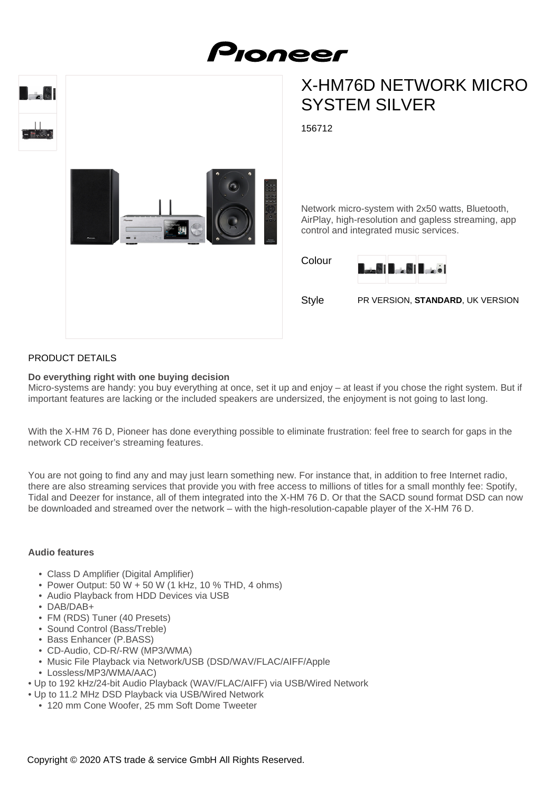



# X-HM76D NETWORK MICRO SYSTEM SILVER

156712



#### Network micro-system with 2x50 watts, Bluetooth, AirPlay, high-resolution and gapless streaming, app control and integrated music services.

Colour



Style PR VERSION, **STANDARD**, UK VERSION

## PRODUCT DETAILS

## **Do everything right with one buying decision**

Micro-systems are handy: you buy everything at once, set it up and enjoy – at least if you chose the right system. But if important features are lacking or the included speakers are undersized, the enjoyment is not going to last long.

With the X-HM 76 D, Pioneer has done everything possible to eliminate frustration: feel free to search for gaps in the network CD receiver's streaming features.

You are not going to find any and may just learn something new. For instance that, in addition to free Internet radio, there are also streaming services that provide you with free access to millions of titles for a small monthly fee: Spotify, Tidal and Deezer for instance, all of them integrated into the X-HM 76 D. Or that the SACD sound format DSD can now be downloaded and streamed over the network – with the high-resolution-capable player of the X-HM 76 D.

## **Audio features**

- Class D Amplifier (Digital Amplifier)
- Power Output: 50 W + 50 W (1 kHz, 10 % THD, 4 ohms)
- Audio Playback from HDD Devices via USB
- DAB/DAB+
- FM (RDS) Tuner (40 Presets)
- Sound Control (Bass/Treble)
- Bass Enhancer (P.BASS)
- CD-Audio, CD-R/-RW (MP3/WMA)
- Music File Playback via Network/USB (DSD/WAV/FLAC/AIFF/Apple
- Lossless/MP3/WMA/AAC)
- Up to 192 kHz/24-bit Audio Playback (WAV/FLAC/AIFF) via USB/Wired Network
- Up to 11.2 MHz DSD Playback via USB/Wired Network
	- 120 mm Cone Woofer, 25 mm Soft Dome Tweeter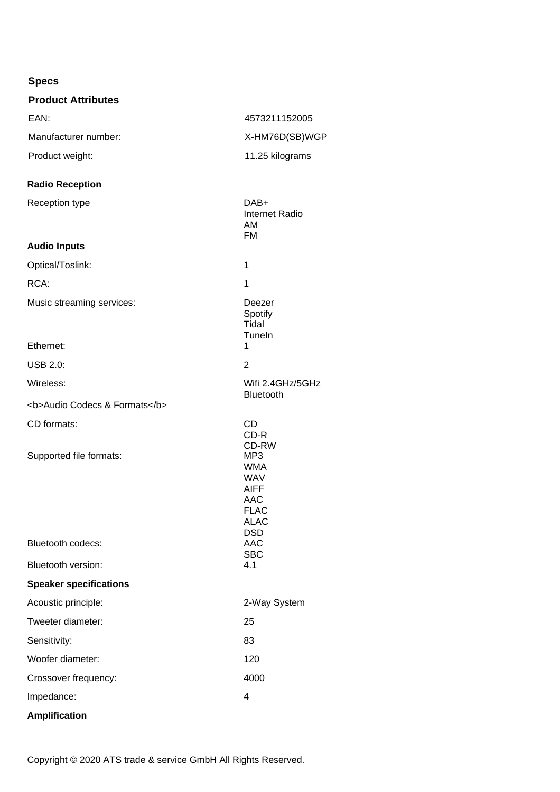| <b>Specs</b>                      |                                                                                                                      |
|-----------------------------------|----------------------------------------------------------------------------------------------------------------------|
| <b>Product Attributes</b>         |                                                                                                                      |
| EAN:                              | 4573211152005                                                                                                        |
| Manufacturer number:              | X-HM76D(SB)WGP                                                                                                       |
| Product weight:                   | 11.25 kilograms                                                                                                      |
| <b>Radio Reception</b>            |                                                                                                                      |
| Reception type                    | DAB+<br><b>Internet Radio</b><br>AM<br><b>FM</b>                                                                     |
| <b>Audio Inputs</b>               |                                                                                                                      |
| Optical/Toslink:                  | 1                                                                                                                    |
| RCA:                              | 1                                                                                                                    |
| Music streaming services:         | Deezer<br>Spotify<br>Tidal<br>Tuneln                                                                                 |
| Ethernet:                         | 1                                                                                                                    |
| <b>USB 2.0:</b>                   | $\overline{2}$                                                                                                       |
| Wireless:                         | Wifi 2.4GHz/5GHz<br>Bluetooth                                                                                        |
| <b>Audio Codecs &amp; Formats</b> |                                                                                                                      |
| CD formats:                       | <b>CD</b><br>CD-R<br>CD-RW                                                                                           |
| Supported file formats:           | MP <sub>3</sub><br><b>WMA</b><br><b>WAV</b><br><b>AIFF</b><br><b>AAC</b><br><b>FLAC</b><br><b>ALAC</b><br><b>DSD</b> |
| <b>Bluetooth codecs:</b>          | <b>AAC</b><br><b>SBC</b>                                                                                             |
| Bluetooth version:                | 4.1                                                                                                                  |
| <b>Speaker specifications</b>     |                                                                                                                      |
| Acoustic principle:               | 2-Way System                                                                                                         |
| Tweeter diameter:                 | 25                                                                                                                   |
| Sensitivity:                      | 83                                                                                                                   |
| Woofer diameter:                  | 120                                                                                                                  |
| Crossover frequency:              | 4000                                                                                                                 |

**Amplification**

Copyright © 2020 ATS trade & service GmbH All Rights Reserved.

Impedance: 4